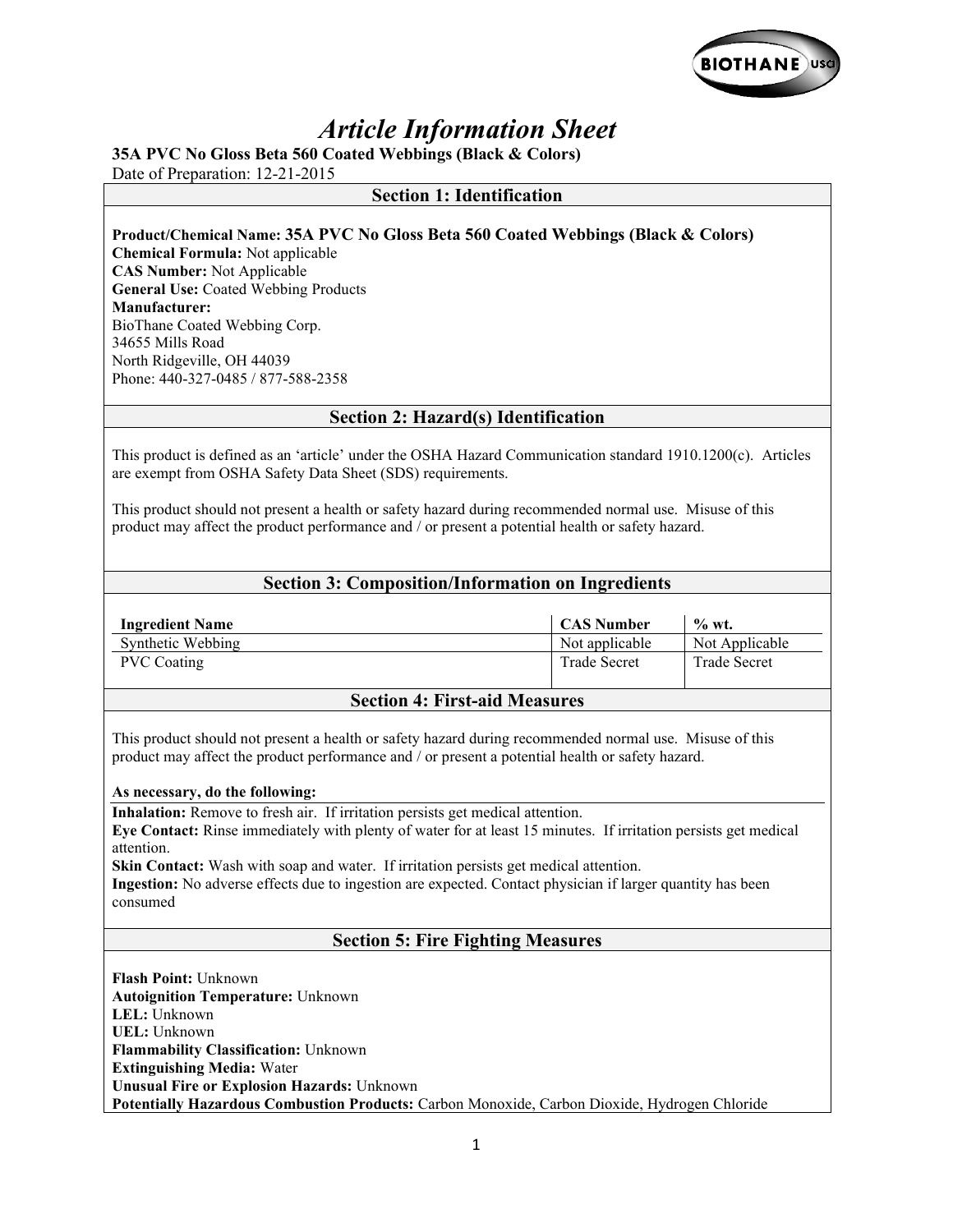

# *Article Information Sheet*

**35A PVC No Gloss Beta 560 Coated Webbings (Black & Colors)** 

Date of Preparation: 12-21-2015

### **Section 1: Identification**

**Product/Chemical Name: 35A PVC No Gloss Beta 560 Coated Webbings (Black & Colors) Chemical Formula:** Not applicable **CAS Number:** Not Applicable **General Use:** Coated Webbing Products **Manufacturer:**  BioThane Coated Webbing Corp. 34655 Mills Road North Ridgeville, OH 44039

Phone: 440-327-0485 / 877-588-2358

### **Section 2: Hazard(s) Identification**

This product is defined as an 'article' under the OSHA Hazard Communication standard 1910.1200(c). Articles are exempt from OSHA Safety Data Sheet (SDS) requirements.

This product should not present a health or safety hazard during recommended normal use. Misuse of this product may affect the product performance and / or present a potential health or safety hazard.

### **Section 3: Composition/Information on Ingredients**

| <b>Ingredient Name</b> | <b>CAS Number</b>   | $\%$ wt.            |
|------------------------|---------------------|---------------------|
| Synthetic Webbing      | Not applicable      | Not Applicable      |
| <b>PVC</b> Coating     | <b>Trade Secret</b> | <b>Trade Secret</b> |

#### **Section 4: First-aid Measures**

This product should not present a health or safety hazard during recommended normal use. Misuse of this product may affect the product performance and / or present a potential health or safety hazard.

#### **As necessary, do the following:**

**Inhalation:** Remove to fresh air. If irritation persists get medical attention.

**Eye Contact:** Rinse immediately with plenty of water for at least 15 minutes. If irritation persists get medical attention.

**Skin Contact:** Wash with soap and water. If irritation persists get medical attention.

**Ingestion:** No adverse effects due to ingestion are expected. Contact physician if larger quantity has been consumed

### **Section 5: Fire Fighting Measures**

**Flash Point:** Unknown **Autoignition Temperature:** Unknown **LEL:** Unknown **UEL:** Unknown **Flammability Classification:** Unknown **Extinguishing Media:** Water **Unusual Fire or Explosion Hazards:** Unknown Potentially Hazardous Combustion Products: Carbon Monoxide, Carbon Dioxide, Hydrogen Chloride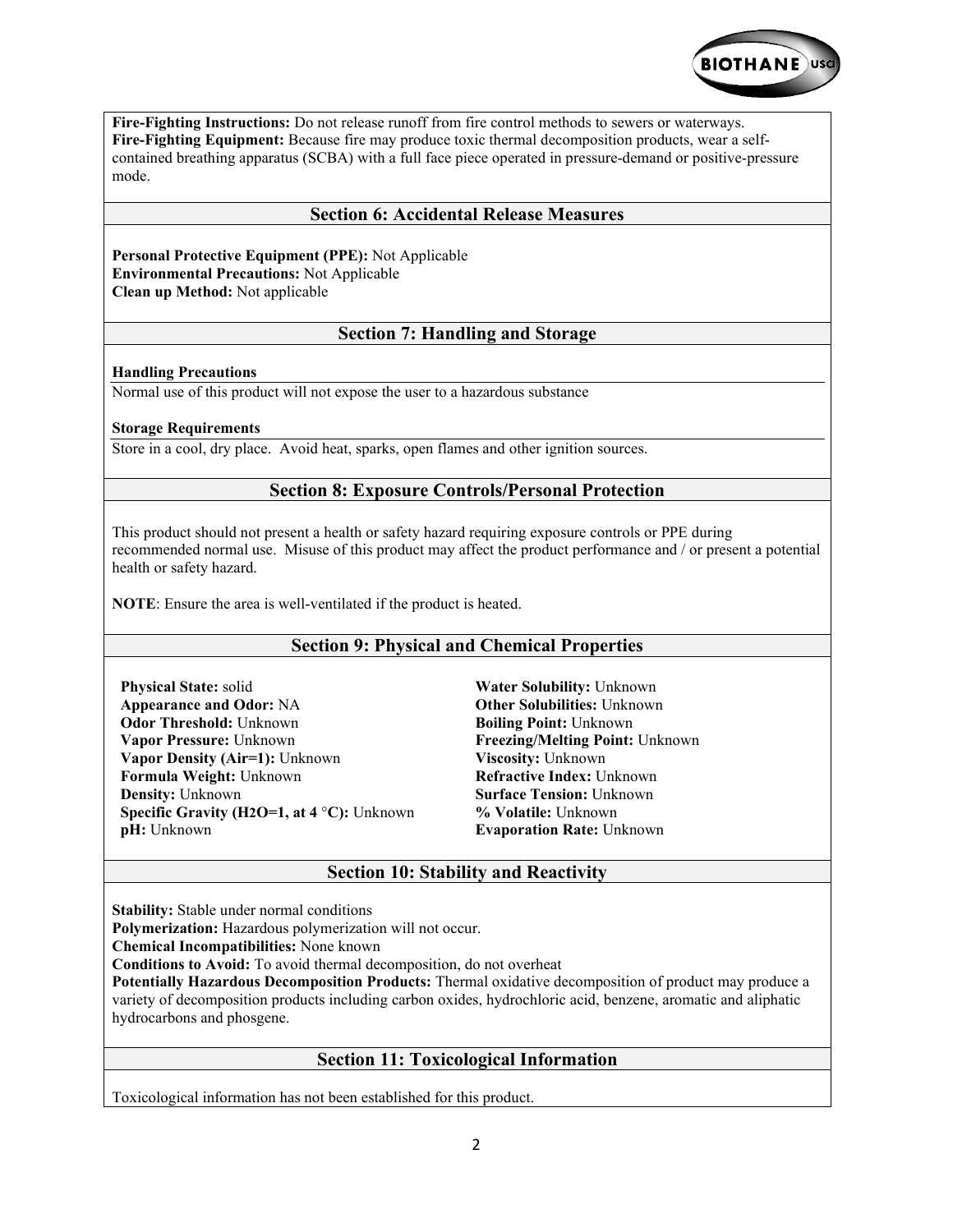

**Fire-Fighting Instructions:** Do not release runoff from fire control methods to sewers or waterways. **Fire-Fighting Equipment:** Because fire may produce toxic thermal decomposition products, wear a selfcontained breathing apparatus (SCBA) with a full face piece operated in pressure-demand or positive-pressure mode.

### **Section 6: Accidental Release Measures**

**Personal Protective Equipment (PPE):** Not Applicable **Environmental Precautions:** Not Applicable **Clean up Method:** Not applicable

# **Section 7: Handling and Storage**

#### **Handling Precautions**

Normal use of this product will not expose the user to a hazardous substance

#### **Storage Requirements**

Store in a cool, dry place. Avoid heat, sparks, open flames and other ignition sources.

# **Section 8: Exposure Controls/Personal Protection**

This product should not present a health or safety hazard requiring exposure controls or PPE during recommended normal use. Misuse of this product may affect the product performance and / or present a potential health or safety hazard.

**NOTE**: Ensure the area is well-ventilated if the product is heated.

# **Section 9: Physical and Chemical Properties**

**Physical State:** solid **Appearance and Odor:** NA **Odor Threshold:** Unknown **Vapor Pressure:** Unknown **Vapor Density (Air=1):** Unknown **Formula Weight:** Unknown **Density:** Unknown **Specific Gravity (H2O=1, at 4** °**C):** Unknown **pH:** Unknown

**Water Solubility:** Unknown **Other Solubilities:** Unknown **Boiling Point:** Unknown **Freezing/Melting Point:** Unknown **Viscosity:** Unknown **Refractive Index:** Unknown **Surface Tension:** Unknown **% Volatile:** Unknown **Evaporation Rate:** Unknown

# **Section 10: Stability and Reactivity**

**Stability:** Stable under normal conditions

**Polymerization:** Hazardous polymerization will not occur.

**Chemical Incompatibilities:** None known

**Conditions to Avoid:** To avoid thermal decomposition, do not overheat

**Potentially Hazardous Decomposition Products:** Thermal oxidative decomposition of product may produce a variety of decomposition products including carbon oxides, hydrochloric acid, benzene, aromatic and aliphatic hydrocarbons and phosgene.

# **Section 11: Toxicological Information**

Toxicological information has not been established for this product.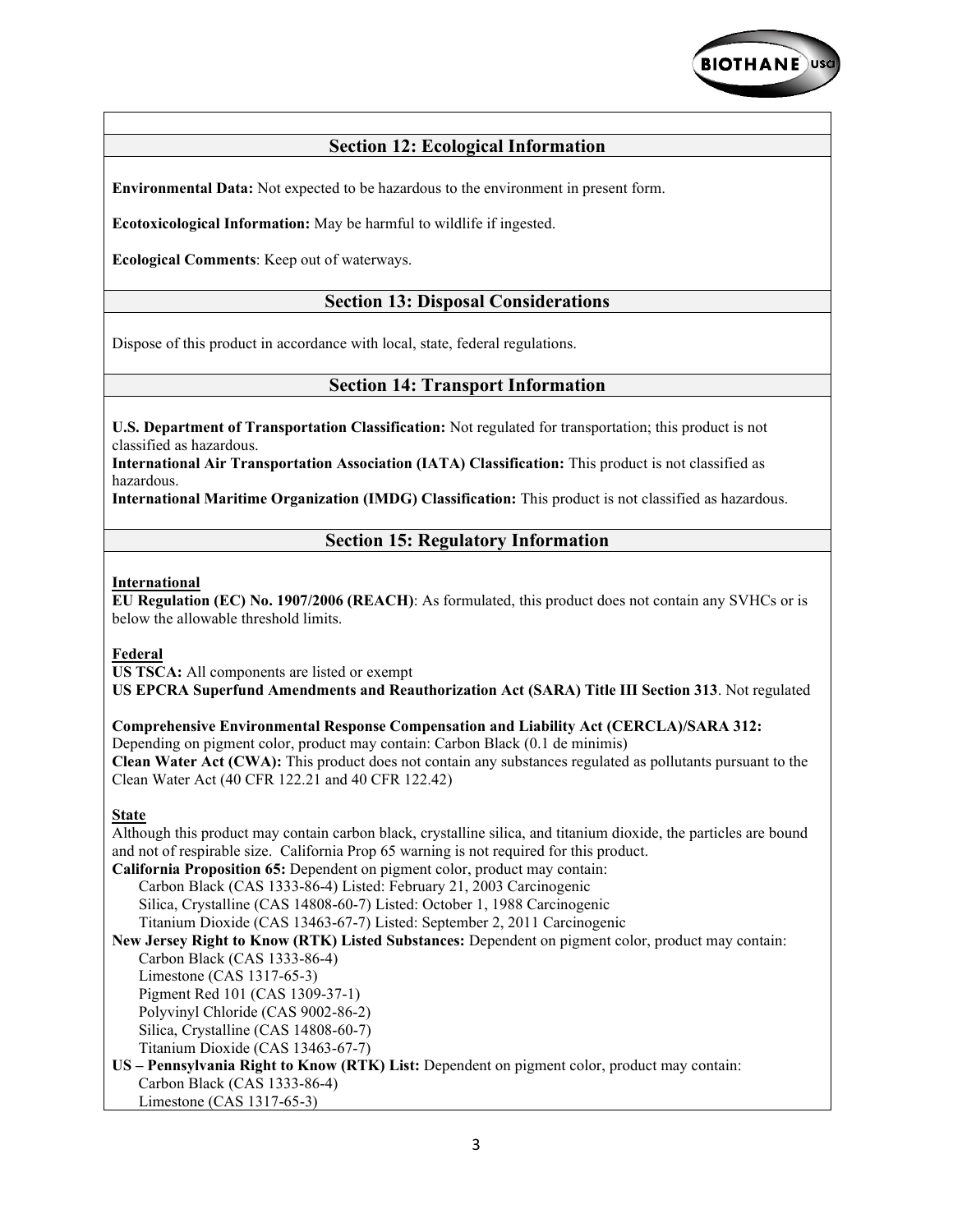

# **Section 12: Ecological Information**

**Environmental Data:** Not expected to be hazardous to the environment in present form.

**Ecotoxicological Information:** May be harmful to wildlife if ingested.

**Ecological Comments**: Keep out of waterways.

### **Section 13: Disposal Considerations**

Dispose of this product in accordance with local, state, federal regulations.

### **Section 14: Transport Information**

**U.S. Department of Transportation Classification:** Not regulated for transportation; this product is not classified as hazardous.

**International Air Transportation Association (IATA) Classification:** This product is not classified as hazardous.

**International Maritime Organization (IMDG) Classification:** This product is not classified as hazardous.

#### **Section 15: Regulatory Information**

#### **International**

**EU Regulation (EC) No. 1907/2006 (REACH)**: As formulated, this product does not contain any SVHCs or is below the allowable threshold limits.

#### **Federal**

**US TSCA:** All components are listed or exempt **US EPCRA Superfund Amendments and Reauthorization Act (SARA) Title III Section 313**. Not regulated

**Comprehensive Environmental Response Compensation and Liability Act (CERCLA)/SARA 312:**  Depending on pigment color, product may contain: Carbon Black (0.1 de minimis) **Clean Water Act (CWA):** This product does not contain any substances regulated as pollutants pursuant to the Clean Water Act (40 CFR 122.21 and 40 CFR 122.42)

#### **State**

Although this product may contain carbon black, crystalline silica, and titanium dioxide, the particles are bound and not of respirable size. California Prop 65 warning is not required for this product. **California Proposition 65:** Dependent on pigment color, product may contain: Carbon Black (CAS 1333-86-4) Listed: February 21, 2003 Carcinogenic Silica, Crystalline (CAS 14808-60-7) Listed: October 1, 1988 Carcinogenic Titanium Dioxide (CAS 13463-67-7) Listed: September 2, 2011 Carcinogenic **New Jersey Right to Know (RTK) Listed Substances:** Dependent on pigment color, product may contain: Carbon Black (CAS 1333-86-4) Limestone (CAS 1317-65-3) Pigment Red 101 (CAS 1309-37-1) Polyvinyl Chloride (CAS 9002-86-2) Silica, Crystalline (CAS 14808-60-7) Titanium Dioxide (CAS 13463-67-7) **US – Pennsylvania Right to Know (RTK) List:** Dependent on pigment color, product may contain: Carbon Black (CAS 1333-86-4) Limestone (CAS 1317-65-3)